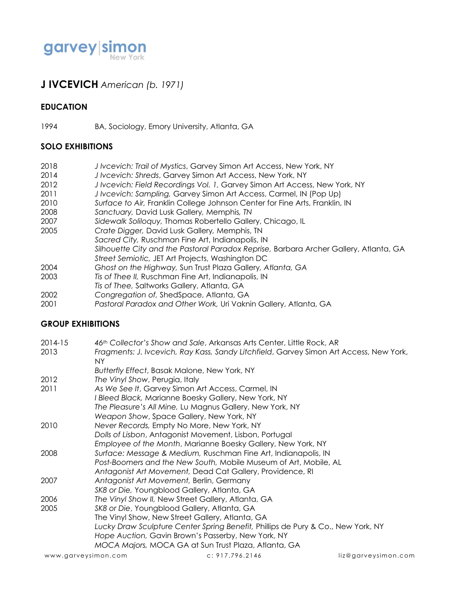

# **J IVCEVICH** *American (b. 1971)*

#### **EDUCATION**

1994 BA, Sociology, Emory University, Atlanta, GA

## **SOLO EXHIBITIONS**

- 2018 *J Ivcevich: Trail of Mystics*, Garvey Simon Art Access, New York, NY
- 2014 *J Ivcevich: Shreds*, Garvey Simon Art Access, New York, NY
- 2012 *J Ivcevich: Field Recordings Vol. 1,* Garvey Simon Art Access, New York, NY
- 2011 *J Ivcevich: Sampling,* Garvey Simon Art Access, Carmel, IN (Pop Up)
- 2010 *Surface to Air,* Franklin College Johnson Center for Fine Arts, Franklin, IN
- 2008 *Sanctuary,* David Lusk Gallery*,* Memphis*, TN*
- 2007 *Sidewalk Soliloquy,* Thomas Robertello Gallery, Chicago, IL
- 2005 *Crate Digger,* David Lusk Gallery*,* Memphis, TN
- *Sacred City,* Ruschman Fine Art, Indianapolis, IN
	- *Silhouette City and the Pastoral Paradox Reprise,* Barbara Archer Gallery, Atlanta, GA
- *Street Semiotic,* JET Art Projects, Washington DC
- 2004 *Ghost on the Highway,* Sun Trust Plaza Gallery*, Atlanta, GA*
- 2003 *Tis of Thee II,* Ruschman Fine Art, Indianapolis, IN
- *Tis of Thee,* Saltworks Gallery, Atlanta, GA
- 2002 *Congregation of,* ShedSpace, Atlanta, GA
- 2001 *Pastoral Paradox and Other Work,* Uri Vaknin Gallery, Atlanta, GA

#### **GROUP EXHIBITIONS**

- 2014-15 *46th Collector's Show and Sale*, Arkansas Arts Center, Little Rock, AR
- 2013 *Fragments: J. Ivcevich, Ray Kass, Sandy Litchfield*, Garvey Simon Art Access, New York, NY
- *Butterfly Effect*, Basak Malone, New York, NY
- 2012 *The Vinyl Show*, Perugia, Italy
- 2011 *As We See It*, Garvey Simon Art Access, Carmel, IN *I Bleed Black,* Marianne Boesky Gallery, New York, NY *The Pleasure's All Mine,* Lu Magnus Gallery, New York, NY *Weapon Show*, Space Gallery, New York, NY 2010 *Never Records,* Empty No More, New York, NY *Dolls of Lisbon*, Antagonist Movement, Lisbon, Portugal *Employee of the Month*, Marianne Boesky Gallery, New York, NY 2008 *Surface: Message & Medium,* Ruschman Fine Art, Indianapolis, IN *Post-Boomers and the New South,* Mobile Museum of Art, Mobile, AL *Antagonist Art Movement,* Dead Cat Gallery, Providence, RI 2007 *Antagonist Art Movement,* Berlin, Germany *SK8 or Die,* Youngblood Gallery, Atlanta, GA 2006 *The Vinyl Show II,* New Street Gallery, Atlanta, GA 2005 *SK8 or Die*, Youngblood Gallery, Atlanta, GA The Vinyl Show, New Street Gallery, Atlanta, GA *Lucky Draw Sculpture Center Spring Benefit,* Phillips de Pury & Co., New York, NY *Hope Auction,* Gavin Brown's Passerby, New York, NY

*MOCA Majors,* MOCA GA at Sun Trust Plaza, Atlanta, GA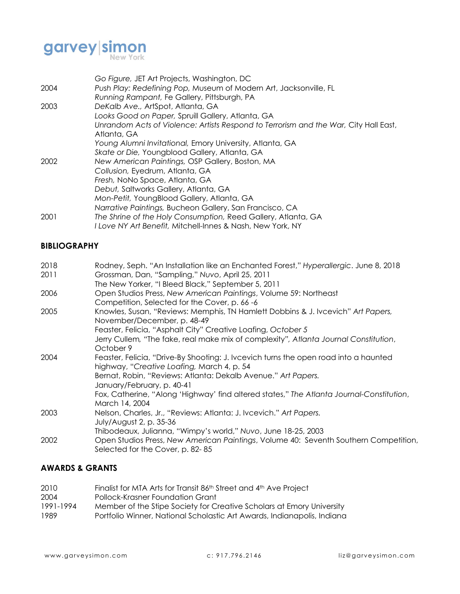

|      | Go Figure, JET Art Projects, Washington, DC                                                                      |
|------|------------------------------------------------------------------------------------------------------------------|
| 2004 | Push Play: Redefining Pop, Museum of Modern Art, Jacksonville, FL<br>Running Rampant, Fe Gallery, Pittsburgh, PA |
| 2003 | DeKalb Ave., ArtSpot, Atlanta, GA                                                                                |
|      | Looks Good on Paper, Spruill Gallery, Atlanta, GA                                                                |
|      | Unrandom Acts of Violence: Artists Respond to Terrorism and the War, City Hall East,<br>Atlanta, GA              |
|      | Young Alumni Invitational, Emory University, Atlanta, GA                                                         |
|      | Skate or Die, Youngblood Gallery, Atlanta, GA                                                                    |
| 2002 | New American Paintings, OSP Gallery, Boston, MA                                                                  |
|      | Collusion, Eyedrum, Atlanta, GA                                                                                  |
|      | Fresh, NoNo Space, Atlanta, GA                                                                                   |
|      | Debut, Saltworks Gallery, Atlanta, GA                                                                            |
|      | Mon-Petit, YoungBlood Gallery, Atlanta, GA                                                                       |
|      | Narrative Paintings, Bucheon Gallery, San Francisco, CA                                                          |
| 2001 | The Shrine of the Holy Consumption, Reed Gallery, Atlanta, GA                                                    |
|      | I Love NY Art Benefit, Mitchell-Innes & Nash, New York, NY                                                       |

# **BIBLIOGRAPHY**

| 2018<br>2011 | Rodney, Seph. "An Installation like an Enchanted Forest," Hyperallergic. June 8, 2018<br>Grossman, Dan, "Sampling," Nuvo, April 25, 2011<br>The New Yorker, "I Bleed Black," September 5, 2011 |
|--------------|------------------------------------------------------------------------------------------------------------------------------------------------------------------------------------------------|
| 2006         | Open Studios Press, New American Paintings, Volume 59: Northeast<br>Competition, Selected for the Cover, p. 66-6                                                                               |
| 2005         | Knowles, Susan, "Reviews: Memphis, TN Hamlett Dobbins & J. Ivcevich" Art Papers,<br>November/December, p. 48-49<br>Feaster, Felicia, "Asphalt City" Creative Loafing, October 5                |
|              | Jerry Cullem, "The fake, real make mix of complexity", Atlanta Journal Constitution,<br>October 9                                                                                              |
| 2004         | Feaster, Felicia, "Drive-By Shooting: J. Ivcevich turns the open road into a haunted<br>highway, "Creative Loafing, March 4, p. 54                                                             |
|              | Bernat, Robin, "Reviews: Atlanta: Dekalb Avenue." Art Papers.<br>January/February, p. 40-41                                                                                                    |
|              | Fox, Catherine, "Along 'Highway' find altered states," The Atlanta Journal-Constitution,<br>March 14, 2004                                                                                     |
| 2003         | Nelson, Charles, Jr., "Reviews: Atlanta: J. Ivcevich." Art Papers.<br>July/August 2, p. 35-36                                                                                                  |
| 2002         | Thibodeaux, Julianna, "Wimpy's world," Nuvo, June 18-25, 2003<br>Open Studios Press, New American Paintings, Volume 40: Seventh Southern Competition,<br>Selected for the Cover, p. 82-85      |

# **AWARDS & GRANTS**

| 2010      | Finalist for MTA Arts for Transit 86th Street and 4th Ave Project       |
|-----------|-------------------------------------------------------------------------|
| 2004      | Pollock-Krasner Foundation Grant                                        |
| 1991-1994 | Member of the Stipe Society for Creative Scholars at Emory University   |
| 1989      | Portfolio Winner, National Scholastic Art Awards, Indianapolis, Indiana |